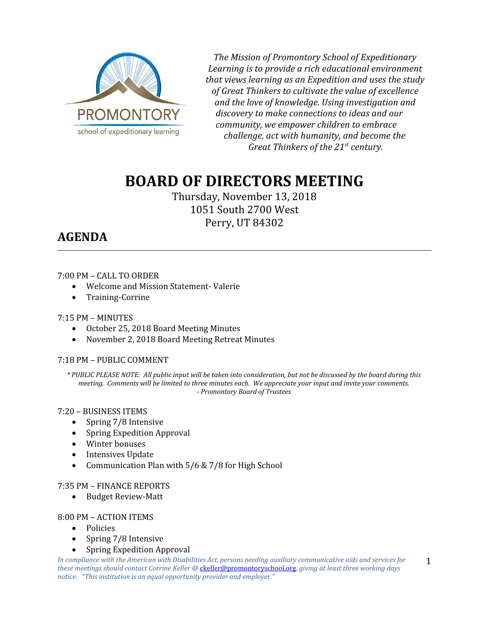

*The Mission of Promontory School of Expeditionary Learning is to provide a rich educational environment that views learning as an Expedition and uses the study of Great Thinkers to cultivate the value of excellence and the love of knowledge. Using investigation and discovery to make connections to ideas and our community, we empower children to embrace challenge, act with humanity, and become the Great Thinkers of the 21st century.*

# **BOARD OF DIRECTORS MEETING**

Thursday, November 13, 2018 1051 South 2700 West Perry, UT 84302

# **AGENDA**

## 7:00 PM – CALL TO ORDER

- Welcome and Mission Statement- Valerie
- Training-Corrine

7:15 PM – MINUTES

- October 25, 2018 Board Meeting Minutes
- November 2, 2018 Board Meeting Retreat Minutes

# 7:18 PM – PUBLIC COMMENT

*\* PUBLIC PLEASE NOTE: All public input will be taken into consideration, but not be discussed by the board during this meeting. Comments will be limited to three minutes each. We appreciate your input and invite your comments. - Promontory Board of Trustees*

#### 7:20 – BUSINESS ITEMS

- Spring 7/8 Intensive
- Spring Expedition Approval
- Winter bonuses
- Intensives Update
- Communication Plan with 5/6 & 7/8 for High School

#### 7:35 PM – FINANCE REPORTS

• Budget Review-Matt

#### 8:00 PM – ACTION ITEMS

- Policies
- Spring 7/8 Intensive
- Spring Expedition Approval

*In compliance with the American with Disabilities Act, persons needing auxiliary communicative aids and services for these meetings should contact Corrine Keller @* [ckeller@promontoryschool.org](mailto:ckeller@promontoryschool.org)*, giving at least three working days notice. "This institution is an equal opportunity provider and employer."* 1